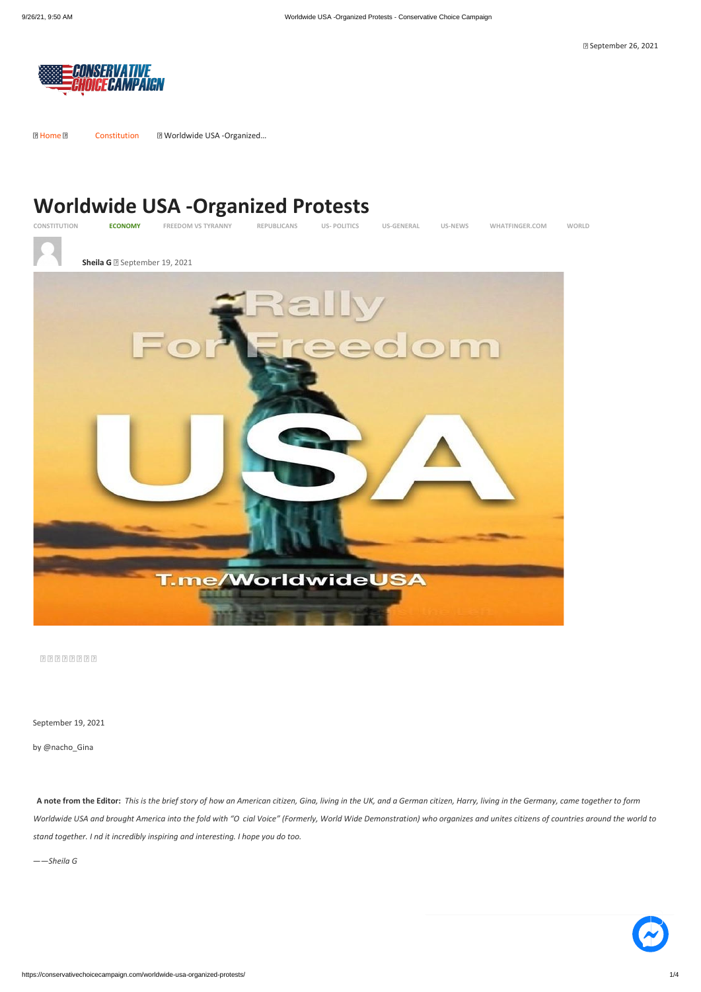September 26, 2021



[Home](https://conservativechoicecampaign.com/) [Constitution](https://conservativechoicecampaign.com/category/constitution/) Worldwide USA -Organized…

## **Worldwide USA -Organized Protests**



**[CONSTITUTION](https://conservativechoicecampaign.com/category/constitution/) [ECONOMY](https://conservativechoicecampaign.com/category/economy/) [FREEDOM VS TYRANNY](https://conservativechoicecampaign.com/category/freedom-vs-tyranny/) [REPUBLICANS](https://conservativechoicecampaign.com/category/republicans/) US- [POLITICS](https://conservativechoicecampaign.com/category/us-politics/) [US-GENERAL](https://conservativechoicecampaign.com/category/us-general/) [US-NEWS](https://conservativechoicecampaign.com/category/us-news/) [WHATFINGER.COM](https://conservativechoicecampaign.com/category/what-finger-com/) [WORLD](https://conservativechoicecampaign.com/category/world/)**



**[Sheila G](https://conservativechoicecampaign.com/author/sheila/) B** September 19, 2021



September 19, 2021

by @nacho\_Gina

 **A note from the Editor:** *This is the brief story of how an American citizen, Gina, living in the UK, and a German citizen, Harry, living in the Germany, came together to form* 

*Worldwide USA and brought America into the fold with "O cial Voice" (Formerly, World Wide Demonstration) who organizes and unites citizens of countries around the world to stand together. I nd it incredibly inspiring and interesting. I hope you do too.*

*——Sheila G*

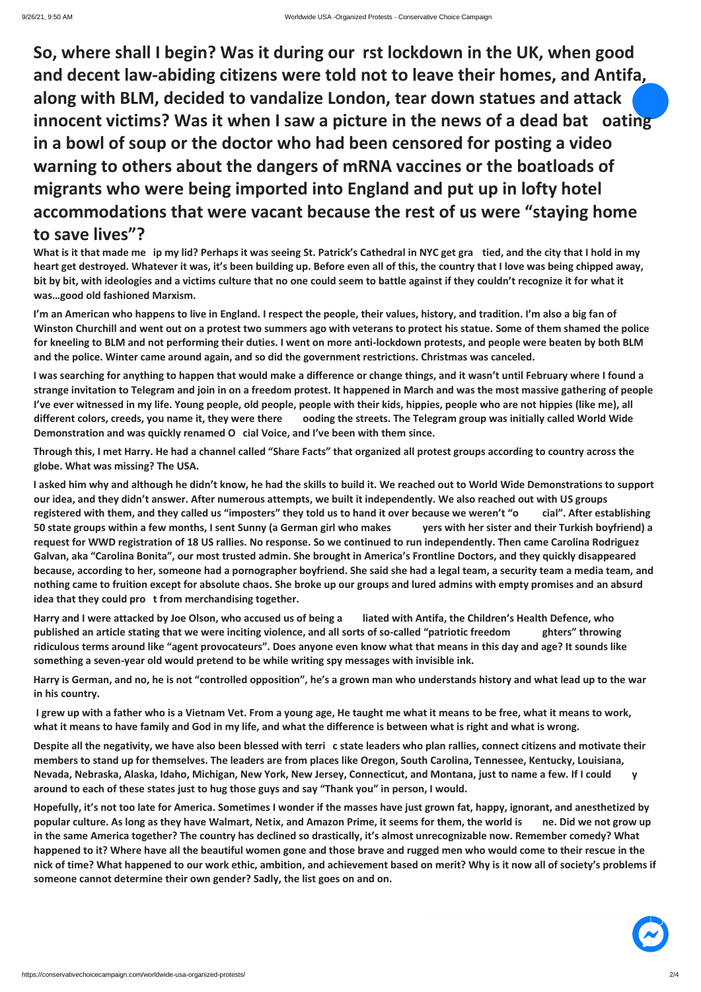**So, where shall I begin? Was it during our rst lockdown in the UK, when good and decent law-abiding citizens were told not to leave their homes, and Antifa, along with BLM, decided to vandalize London, tear down statues and attack innocent victims? Was it when I saw a picture in the news of a dead bat oating in a bowl of soup or the doctor who had been censored for posting a video warning to others about the dangers of mRNA vaccines or the boatloads of migrants who were being imported into England and put up in lofty hotel accommodations that were vacant because the rest of us were "staying home to save lives"?**

**What is it that made me ip my lid? Perhaps it was seeing St. Patrick's Cathedral in NYC get gra tied, and the city that I hold in my heart get destroyed. Whatever it was, it's been building up. Before even all of this, the country that I love was being chipped away, bit by bit, with ideologies and a victims culture that no one could seem to battle against if they couldn't recognize it for what it was…good old fashioned Marxism.**

**I'm an American who happens to live in England. I respect the people, their values, history, and tradition. I'm also a big fan of Winston Churchill and went out on a protest two summers ago with veterans to protect his statue. Some of them shamed the police for kneeling to BLM and not performing their duties. I went on more anti-lockdown protests, and people were beaten by both BLM and the police. Winter came around again, and so did the government restrictions. Christmas was canceled.**

**I was searching for anything to happen that would make a difference or change things, and it wasn't until February where I found a strange invitation to Telegram and join in on a freedom protest. It happened in March and was the most massive gathering of people I've ever witnessed in my life. Young people, old people, people with their kids, hippies, people who are not hippies (like me), all different colors, creeds, you name it, they were there ooding the streets. The Telegram group was initially called World Wide Demonstration and was quickly renamed O cial Voice, and I've been with them since.** 

**Through this, I met Harry. He had a channel called "Share Facts" that organized all protest groups according to country across the globe. What was missing? The USA.** 

**I asked him why and although he didn't know, he had the skills to build it. We reached out to World Wide Demonstrations to support our idea, and they didn't answer. After numerous attempts, we built it independently. We also reached out with US groups registered with them, and they called us "imposters" they told us to hand it over because we weren't "o cial". After establishing 50 state groups within a few months, I sent Sunny (a German girl who makes yers with her sister and their Turkish boyfriend) a request for WWD registration of 18 US rallies. No response. So we continued to run independently. Then came Carolina Rodriguez Galvan, aka "Carolina Bonita", our most trusted admin. She brought in America's Frontline Doctors, and they quickly disappeared because, according to her, someone had a pornographer boyfriend. She said she had a legal team, a security team a media team, and nothing came to fruition except for absolute chaos. She broke up our groups and lured admins with empty promises and an absurd idea that they could pro t from merchandising together.**

**Harry and I were attacked by Joe Olson, who accused us of being a liated with Antifa, the Children's Health Defence, who published an article stating that we were inciting violence, and all sorts of so-called "patriotic freedom ghters" throwing ridiculous terms around like "agent provocateurs". Does anyone even know what that means in this day and age? It sounds like something a seven-year old would pretend to be while writing spy messages with invisible ink.**

**Harry is German, and no, he is not "controlled opposition", he's a grown man who understands history and what lead up to the war in his country.**

**I grew up with a father who is a Vietnam Vet. From a young age, He taught me what it means to be free, what it means to work, what it means to have family and God in my life, and what the difference is between what is right and what is wrong.** 

**Despite all the negativity, we have also been blessed with terri c state leaders who plan rallies, connect citizens and motivate their members to stand up for themselves. The leaders are from places like Oregon, South Carolina, Tennessee, Kentucky, Louisiana, Nevada, Nebraska, Alaska, Idaho, Michigan, New York, New Jersey, Connecticut, and Montana, just to name a few. If I could y around to each of these states just to hug those guys and say "Thank you" in person, I would.** 

**Hopefully, it's not too late for America. Sometimes I wonder if the masses have just grown fat, happy, ignorant, and anesthetized by popular culture. As long as they have Walmart, Netix, and Amazon Prime, it seems for them, the world is ne. Did we not grow up in the same America together? The country has declined so drastically, it's almost unrecognizable now. Remember comedy? What happened to it? Where have all the beautiful women gone and those brave and rugged men who would come to their rescue in the nick of time? What happened to our work ethic, ambition, and achievement based on merit? Why is it now all of society's problems if someone cannot determine their own gender? Sadly, the list goes on and on.** 

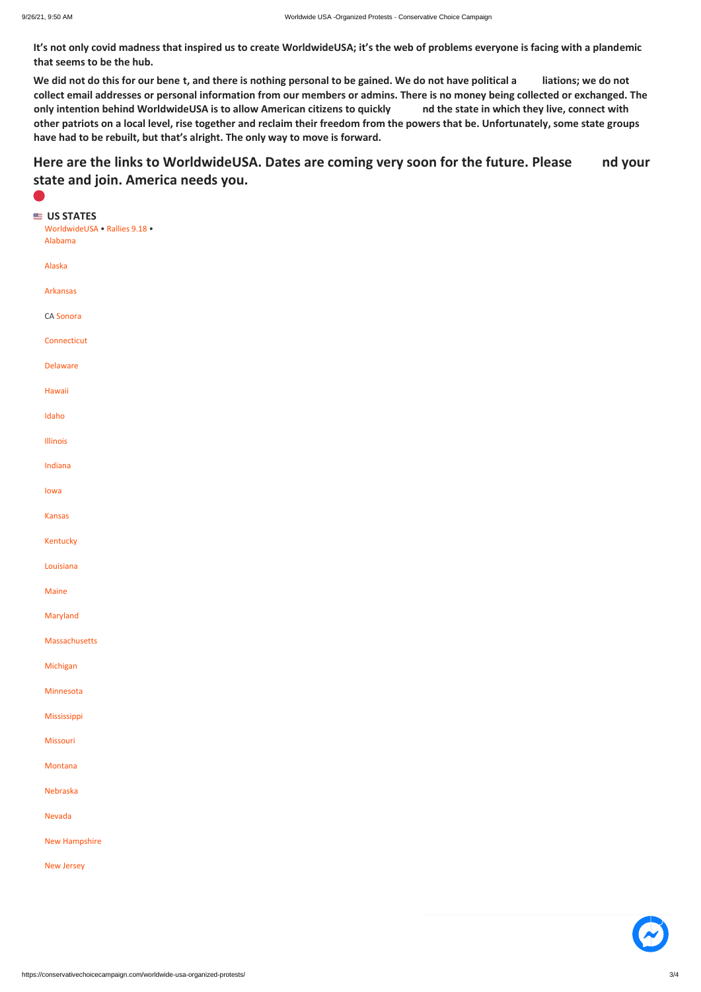**It's not only covid madness that inspired us to create WorldwideUSA; it's the web of problems everyone is facing with a plandemic that seems to be the hub.** 

## Here are the links to WorldwideUSA. Dates are coming very soon for the future. Please and your **state and join. America needs you.**

**We did not do this for our bene t, and there is nothing personal to be gained. We do not have political a liations; we do not collect email addresses or personal information from our members or admins. There is no money being collected or exchanged. The only intention behind WorldwideUSA is to allow American citizens to quickly nd the state in which they live, connect with other patriots on a local level, rise together and reclaim their freedom from the powers that be. Unfortunately, some state groups have had to be rebuilt, but that's alright. The only way to move is forward.** 

| US STATES<br>WorldwideUSA . Rallies 9.18 .<br>Alabama |
|-------------------------------------------------------|
| Alaska                                                |
| <b>Arkansas</b>                                       |
| CA Sonora                                             |
| Connecticut                                           |
| <b>Delaware</b>                                       |
| Hawaii                                                |
| Idaho                                                 |
| Illinois                                              |
| Indiana                                               |
| lowa                                                  |
| <b>Kansas</b>                                         |
| Kentucky                                              |
| Louisiana                                             |
| Maine                                                 |
| Maryland                                              |
| Massachusetts                                         |
| Michigan                                              |
| Minnesota                                             |
| Mississippi                                           |
| Missouri                                              |

| Montana              |  |
|----------------------|--|
| Nebraska             |  |
| Nevada               |  |
| <b>New Hampshire</b> |  |
| <b>New Jersey</b>    |  |
|                      |  |
|                      |  |